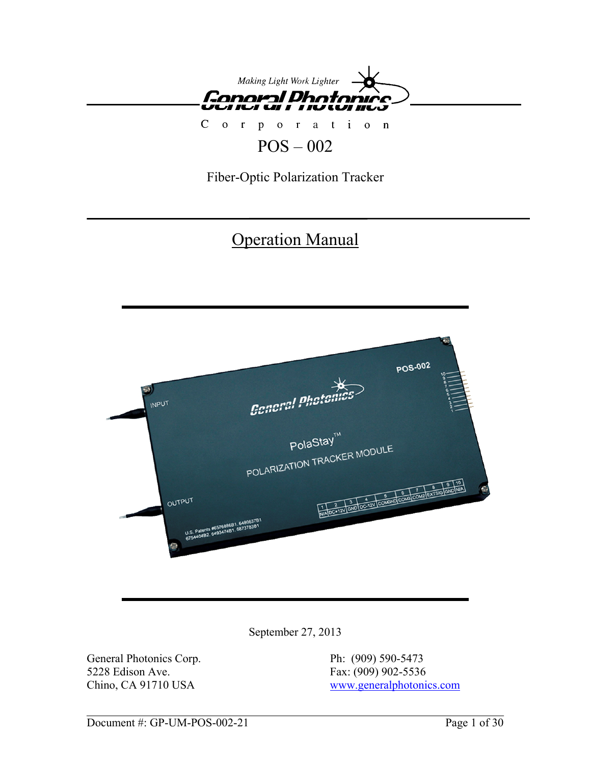

# Corporation

# POS – 002

Fiber-Optic Polarization Tracker

# **Operation Manual**



September 27, 2013

General Photonics Corp. Ph: (909) 590-5473 5228 Edison Ave. Fax: (909) 902-5536

Chino, CA 91710 USA [www.generalphotonics.com](http://www.generalphotonics.com/)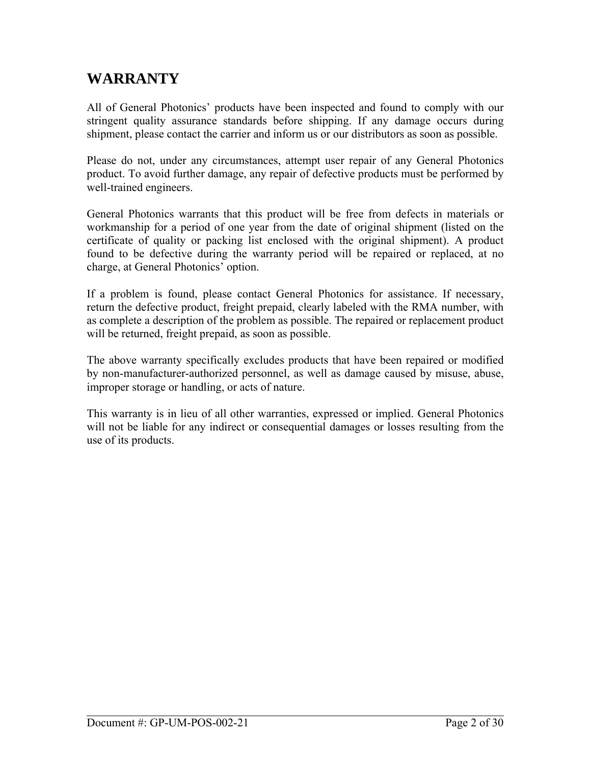## **WARRANTY**

All of General Photonics' products have been inspected and found to comply with our stringent quality assurance standards before shipping. If any damage occurs during shipment, please contact the carrier and inform us or our distributors as soon as possible.

Please do not, under any circumstances, attempt user repair of any General Photonics product. To avoid further damage, any repair of defective products must be performed by well-trained engineers.

General Photonics warrants that this product will be free from defects in materials or workmanship for a period of one year from the date of original shipment (listed on the certificate of quality or packing list enclosed with the original shipment). A product found to be defective during the warranty period will be repaired or replaced, at no charge, at General Photonics' option.

If a problem is found, please contact General Photonics for assistance. If necessary, return the defective product, freight prepaid, clearly labeled with the RMA number, with as complete a description of the problem as possible. The repaired or replacement product will be returned, freight prepaid, as soon as possible.

The above warranty specifically excludes products that have been repaired or modified by non-manufacturer-authorized personnel, as well as damage caused by misuse, abuse, improper storage or handling, or acts of nature.

This warranty is in lieu of all other warranties, expressed or implied. General Photonics will not be liable for any indirect or consequential damages or losses resulting from the use of its products.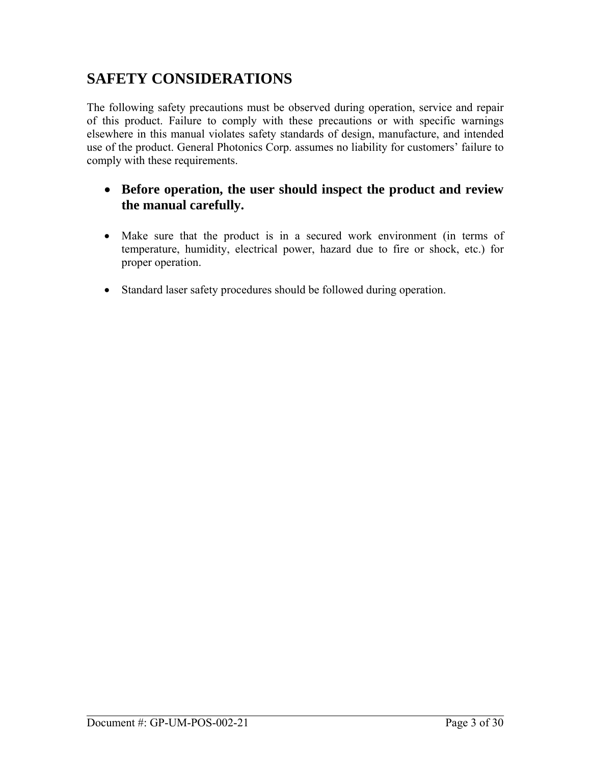# **SAFETY CONSIDERATIONS**

The following safety precautions must be observed during operation, service and repair of this product. Failure to comply with these precautions or with specific warnings elsewhere in this manual violates safety standards of design, manufacture, and intended use of the product. General Photonics Corp. assumes no liability for customers' failure to comply with these requirements.

## • **Before operation, the user should inspect the product and review the manual carefully.**

- Make sure that the product is in a secured work environment (in terms of temperature, humidity, electrical power, hazard due to fire or shock, etc.) for proper operation.
- Standard laser safety procedures should be followed during operation.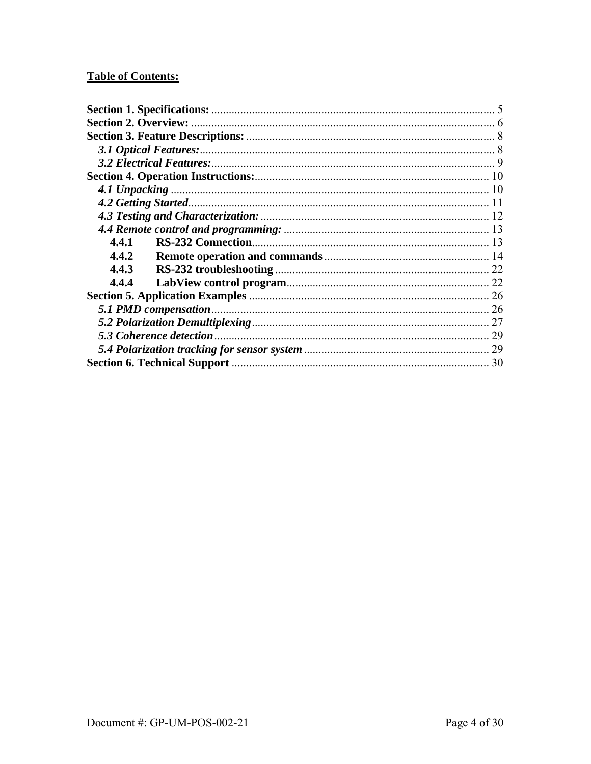### **Table of Contents:**

| 4.4.1 |    |
|-------|----|
| 4.4.2 |    |
| 4.4.3 |    |
| 4.4.4 |    |
|       |    |
|       |    |
|       | 27 |
|       | 29 |
|       |    |
|       |    |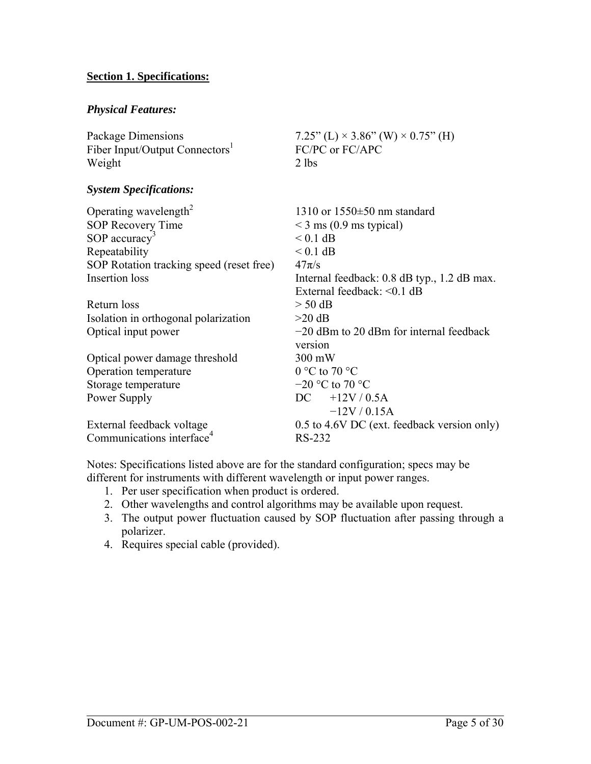#### <span id="page-4-0"></span>**Section 1. Specifications:**

#### *Physical Features:*

Package Dimensions  $7.25$ " (L)  $\times$  3.86" (W)  $\times$  0.75" (H) Fiber Input/Output Connectors<sup>1</sup> Weight 2 lbs

#### *System Specifications:*

| 1310 or $1550\pm50$ nm standard             |
|---------------------------------------------|
| $\leq$ 3 ms (0.9 ms typical)                |
| $< 0.1$ dB                                  |
| $< 0.1$ dB                                  |
| $47\pi/s$                                   |
| Internal feedback: 0.8 dB typ., 1.2 dB max. |
| External feedback: $\leq 0.1$ dB            |
| $>$ 50 dB                                   |
| $>20$ dB                                    |
| $-20$ dBm to 20 dBm for internal feedback   |
| version                                     |
| 300 mW                                      |
| $0^{\circ}$ C to 70 $^{\circ}$ C            |
| $-20$ °C to 70 °C                           |
| $DC + 12V / 0.5A$                           |
| $-12V/0.15A$                                |
| 0.5 to 4.6V DC (ext. feedback version only) |
| RS-232                                      |
|                                             |

FC/PC or FC/APC

Notes: Specifications listed above are for the standard configuration; specs may be different for instruments with different wavelength or input power ranges.

- 1. Per user specification when product is ordered.
- 2. Other wavelengths and control algorithms may be available upon request.
- 3. The output power fluctuation caused by SOP fluctuation after passing through a polarizer.
- 4. Requires special cable (provided).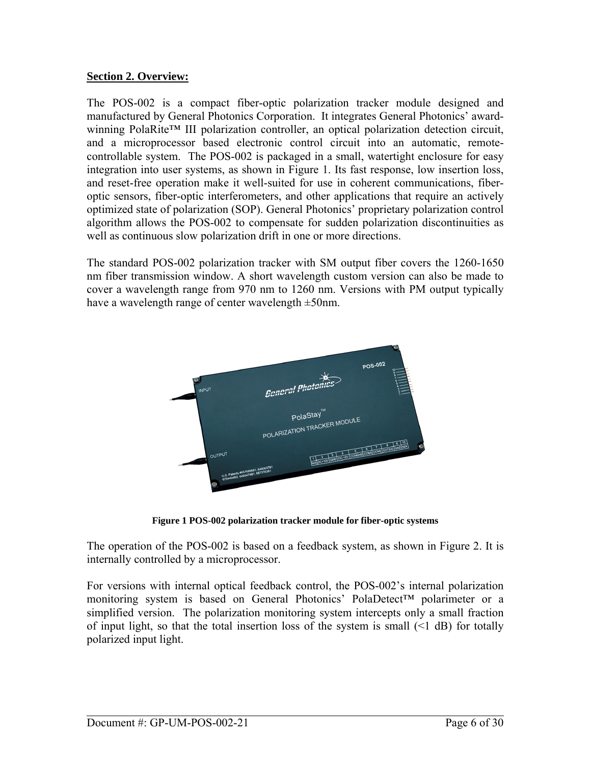#### <span id="page-5-0"></span>**Section 2. Overview:**

The POS-002 is a compact fiber-optic polarization tracker module designed and manufactured by General Photonics Corporation. It integrates General Photonics' awardwinning PolaRite™ III polarization controller, an optical polarization detection circuit, and a microprocessor based electronic control circuit into an automatic, remotecontrollable system. The POS-002 is packaged in a small, watertight enclosure for easy integration into user systems, as shown in [Figure 1](#page-5-1). Its fast response, low insertion loss, and reset-free operation make it well-suited for use in coherent communications, fiberoptic sensors, fiber-optic interferometers, and other applications that require an actively optimized state of polarization (SOP). General Photonics' proprietary polarization control algorithm allows the POS-002 to compensate for sudden polarization discontinuities as well as continuous slow polarization drift in one or more directions.

The standard POS-002 polarization tracker with SM output fiber covers the 1260-1650 nm fiber transmission window. A short wavelength custom version can also be made to cover a wavelength range from 970 nm to 1260 nm. Versions with PM output typically have a wavelength range of center wavelength ±50nm.



**Figure 1 POS-002 polarization tracker module for fiber-optic systems** 

<span id="page-5-1"></span>The operation of the POS-002 is based on a feedback system, as shown in [Figure 2](#page-6-0). It is internally controlled by a microprocessor.

For versions with internal optical feedback control, the POS-002's internal polarization monitoring system is based on General Photonics' PolaDetect™ polarimeter or a simplified version. The polarization monitoring system intercepts only a small fraction of input light, so that the total insertion loss of the system is small  $(\leq 1 \text{ dB})$  for totally polarized input light.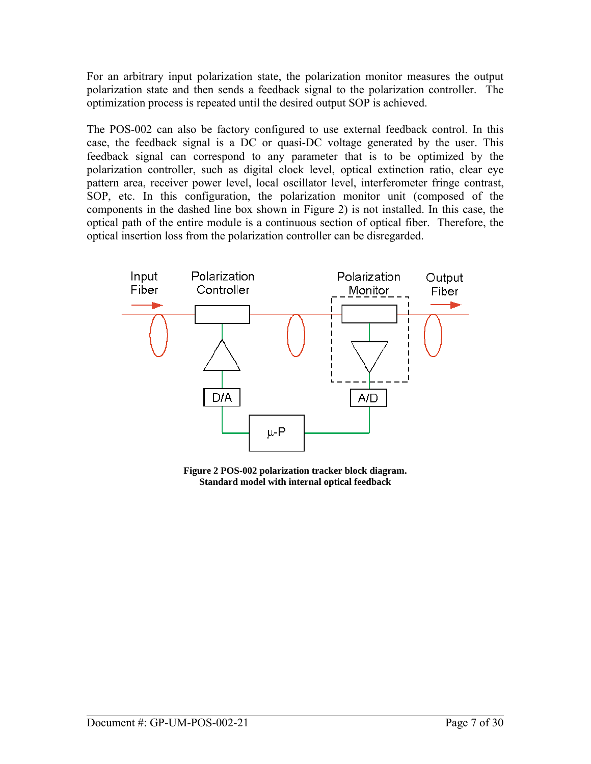For an arbitrary input polarization state, the polarization monitor measures the output polarization state and then sends a feedback signal to the polarization controller. The optimization process is repeated until the desired output SOP is achieved.

The POS-002 can also be factory configured to use external feedback control. In this case, the feedback signal is a DC or quasi-DC voltage generated by the user. This feedback signal can correspond to any parameter that is to be optimized by the polarization controller, such as digital clock level, optical extinction ratio, clear eye pattern area, receiver power level, local oscillator level, interferometer fringe contrast, SOP, etc. In this configuration, the polarization monitor unit (composed of the components in the dashed line box shown in [Figure 2](#page-6-0)) is not installed. In this case, the optical path of the entire module is a continuous section of optical fiber. Therefore, the optical insertion loss from the polarization controller can be disregarded.



<span id="page-6-0"></span>**Figure 2 POS-002 polarization tracker block diagram. Standard model with internal optical feedback**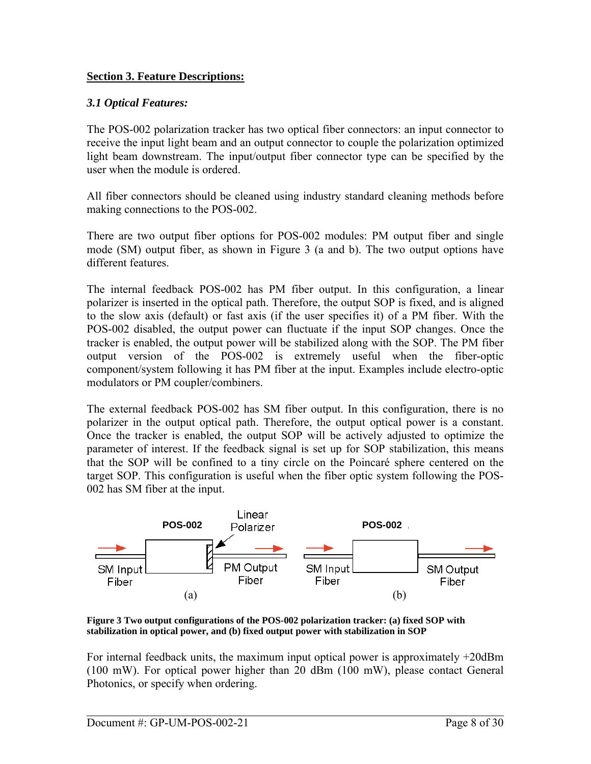#### <span id="page-7-0"></span>**Section 3. Feature Descriptions:**

#### *3.1 Optical Features:*

The POS-002 polarization tracker has two optical fiber connectors: an input connector to receive the input light beam and an output connector to couple the polarization optimized light beam downstream. The input/output fiber connector type can be specified by the user when the module is ordered.

All fiber connectors should be cleaned using industry standard cleaning methods before making connections to the POS-002.

There are two output fiber options for POS-002 modules: PM output fiber and single mode (SM) output fiber, as shown in [Figure 3](#page-7-1) (a and b). The two output options have different features.

The internal feedback POS-002 has PM fiber output. In this configuration, a linear polarizer is inserted in the optical path. Therefore, the output SOP is fixed, and is aligned to the slow axis (default) or fast axis (if the user specifies it) of a PM fiber. With the POS-002 disabled, the output power can fluctuate if the input SOP changes. Once the tracker is enabled, the output power will be stabilized along with the SOP. The PM fiber output version of the POS-002 is extremely useful when the fiber-optic component/system following it has PM fiber at the input. Examples include electro-optic modulators or PM coupler/combiners.

The external feedback POS-002 has SM fiber output. In this configuration, there is no polarizer in the output optical path. Therefore, the output optical power is a constant. Once the tracker is enabled, the output SOP will be actively adjusted to optimize the parameter of interest. If the feedback signal is set up for SOP stabilization, this means that the SOP will be confined to a tiny circle on the Poincaré sphere centered on the target SOP. This configuration is useful when the fiber optic system following the POS-002 has SM fiber at the input.



<span id="page-7-1"></span>**Figure 3 Two output configurations of the POS-002 polarization tracker: (a) fixed SOP with stabilization in optical power, and (b) fixed output power with stabilization in SOP** 

For internal feedback units, the maximum input optical power is approximately +20dBm (100 mW). For optical power higher than 20 dBm (100 mW), please contact General Photonics, or specify when ordering.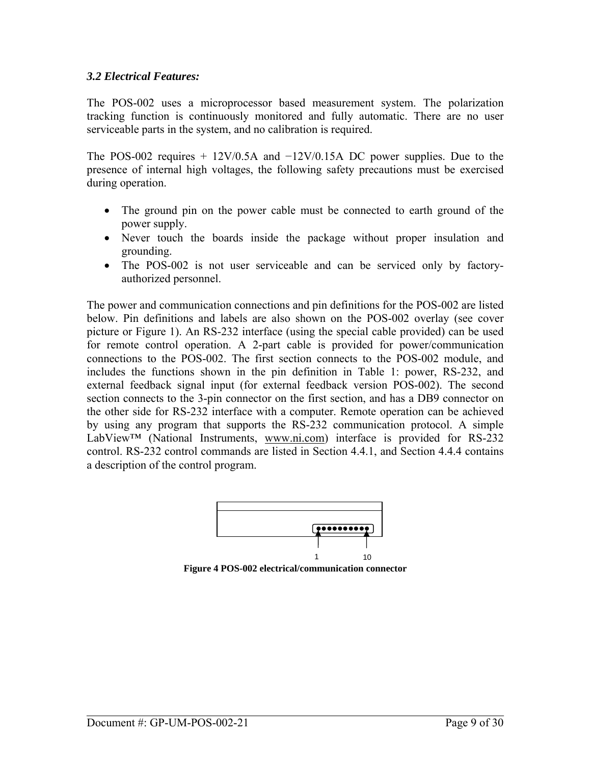#### <span id="page-8-0"></span>*3.2 Electrical Features:*

The POS-002 uses a microprocessor based measurement system. The polarization tracking function is continuously monitored and fully automatic. There are no user serviceable parts in the system, and no calibration is required.

The POS-002 requires +  $12V/0.5A$  and  $-12V/0.15A$  DC power supplies. Due to the presence of internal high voltages, the following safety precautions must be exercised during operation.

- The ground pin on the power cable must be connected to earth ground of the power supply.
- Never touch the boards inside the package without proper insulation and grounding.
- The POS-002 is not user serviceable and can be serviced only by factoryauthorized personnel.

The power and communication connections and pin definitions for the POS-002 are listed below. Pin definitions and labels are also shown on the POS-002 overlay (see cover picture or [Figure 1\)](#page-5-1). An RS-232 interface (using the special cable provided) can be used for remote control operation. A 2-part cable is provided for power/communication connections to the POS-002. The first section connects to the POS-002 module, and includes the functions shown in the pin definition in [Table 1](#page-9-1): power, RS-232, and external feedback signal input (for external feedback version POS-002). The second section connects to the 3-pin connector on the first section, and has a DB9 connector on the other side for RS-232 interface with a computer. Remote operation can be achieved by using any program that supports the RS-232 communication protocol. A simple LabView™ (National Instruments, [www.ni.com](http://www.ni.com/)) interface is provided for RS-232 control. RS-232 control commands are listed in Section 4.4.1, and Section 4.4.4 contains a description of the control program.



<span id="page-8-1"></span>**Figure 4 POS-002 electrical/communication connector**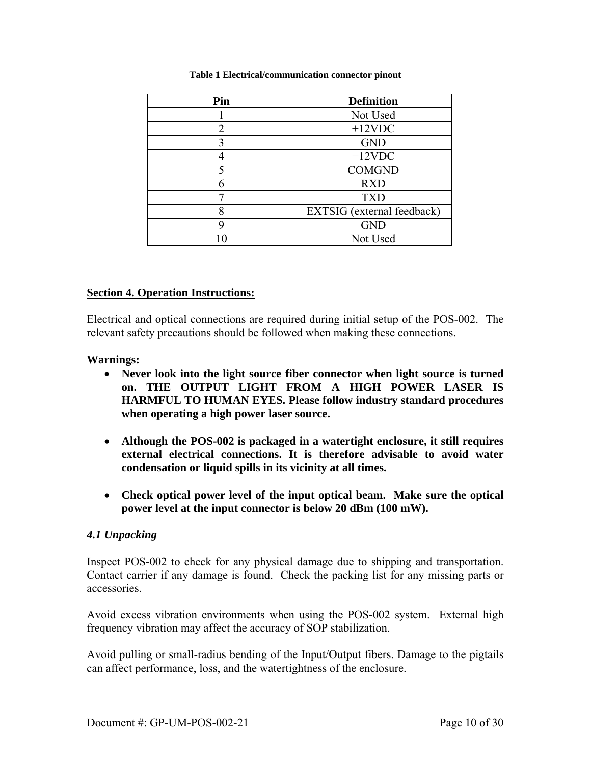<span id="page-9-1"></span><span id="page-9-0"></span>

| Pin | <b>Definition</b>          |
|-----|----------------------------|
|     | Not Used                   |
| 2   | $+12$ VDC                  |
|     | <b>GND</b>                 |
|     | $-12$ VDC                  |
|     | <b>COMGND</b>              |
|     | <b>RXD</b>                 |
|     | <b>TXD</b>                 |
|     | EXTSIG (external feedback) |
| y   | <b>GND</b>                 |
|     | Not Used                   |

#### **Table 1 Electrical/communication connector pinout**

#### **Section 4. Operation Instructions:**

Electrical and optical connections are required during initial setup of the POS-002. The relevant safety precautions should be followed when making these connections.

#### **Warnings:**

- **Never look into the light source fiber connector when light source is turned on. THE OUTPUT LIGHT FROM A HIGH POWER LASER IS HARMFUL TO HUMAN EYES. Please follow industry standard procedures when operating a high power laser source.**
- **Although the POS-002 is packaged in a watertight enclosure, it still requires external electrical connections. It is therefore advisable to avoid water condensation or liquid spills in its vicinity at all times.**
- **Check optical power level of the input optical beam. Make sure the optical power level at the input connector is below 20 dBm (100 mW).**

#### *4.1 Unpacking*

Inspect POS-002 to check for any physical damage due to shipping and transportation. Contact carrier if any damage is found. Check the packing list for any missing parts or accessories.

Avoid excess vibration environments when using the POS-002 system. External high frequency vibration may affect the accuracy of SOP stabilization.

Avoid pulling or small-radius bending of the Input/Output fibers. Damage to the pigtails can affect performance, loss, and the watertightness of the enclosure.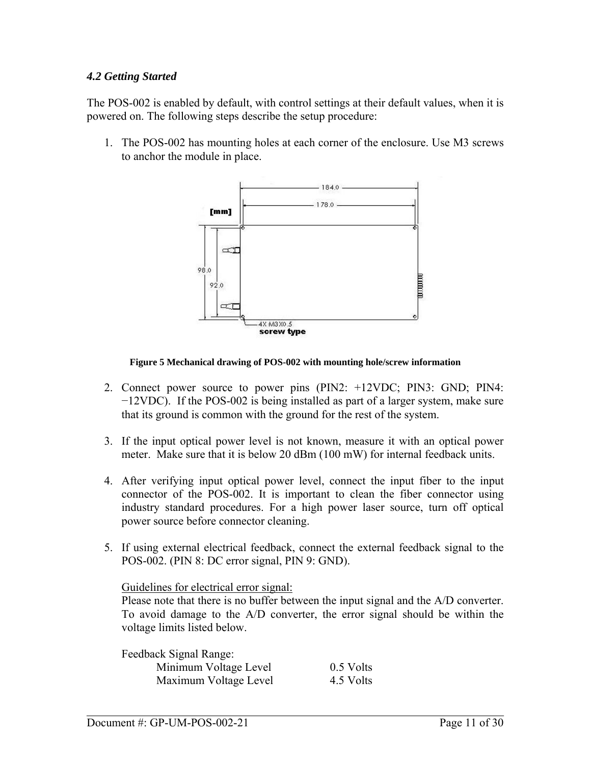#### <span id="page-10-0"></span>*4.2 Getting Started*

The POS-002 is enabled by default, with control settings at their default values, when it is powered on. The following steps describe the setup procedure:

1. The POS-002 has mounting holes at each corner of the enclosure. Use M3 screws to anchor the module in place.



#### **Figure 5 Mechanical drawing of POS-002 with mounting hole/screw information**

- 2. Connect power source to power pins (PIN2: +12VDC; PIN3: GND; PIN4: −12VDC). If the POS-002 is being installed as part of a larger system, make sure that its ground is common with the ground for the rest of the system.
- 3. If the input optical power level is not known, measure it with an optical power meter. Make sure that it is below 20 dBm (100 mW) for internal feedback units.
- 4. After verifying input optical power level, connect the input fiber to the input connector of the POS-002. It is important to clean the fiber connector using industry standard procedures. For a high power laser source, turn off optical power source before connector cleaning.
- 5. If using external electrical feedback, connect the external feedback signal to the POS-002. (PIN 8: DC error signal, PIN 9: GND).

Guidelines for electrical error signal:

Please note that there is no buffer between the input signal and the A/D converter. To avoid damage to the A/D converter, the error signal should be within the voltage limits listed below.

Feedback Signal Range: Minimum Voltage Level 0.5 Volts Maximum Voltage Level 4.5 Volts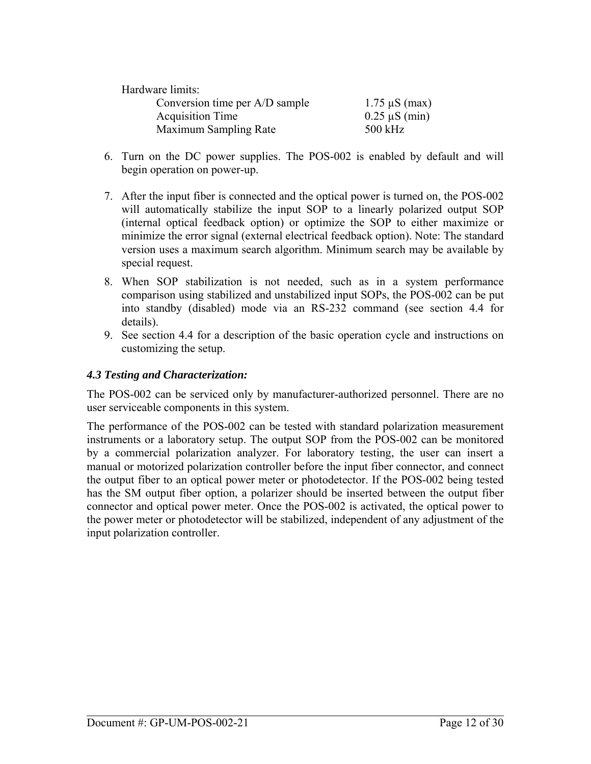<span id="page-11-0"></span>

| Hardware limits:               |                    |
|--------------------------------|--------------------|
| Conversion time per A/D sample | $1.75 \mu S$ (max) |
| <b>Acquisition Time</b>        | $0.25 \mu S$ (min) |
| <b>Maximum Sampling Rate</b>   | $500$ kHz          |

- 6. Turn on the DC power supplies. The POS-002 is enabled by default and will begin operation on power-up.
- 7. After the input fiber is connected and the optical power is turned on, the POS-002 will automatically stabilize the input SOP to a linearly polarized output SOP (internal optical feedback option) or optimize the SOP to either maximize or minimize the error signal (external electrical feedback option). Note: The standard version uses a maximum search algorithm. Minimum search may be available by special request.
- 8. When SOP stabilization is not needed, such as in a system performance comparison using stabilized and unstabilized input SOPs, the POS-002 can be put into standby (disabled) mode via an RS-232 command (see section 4.4 for details).
- 9. See section 4.4 for a description of the basic operation cycle and instructions on customizing the setup.

#### *4.3 Testing and Characterization:*

The POS-002 can be serviced only by manufacturer-authorized personnel. There are no user serviceable components in this system.

The performance of the POS-002 can be tested with standard polarization measurement instruments or a laboratory setup. The output SOP from the POS-002 can be monitored by a commercial polarization analyzer. For laboratory testing, the user can insert a manual or motorized polarization controller before the input fiber connector, and connect the output fiber to an optical power meter or photodetector. If the POS-002 being tested has the SM output fiber option, a polarizer should be inserted between the output fiber connector and optical power meter. Once the POS-002 is activated, the optical power to the power meter or photodetector will be stabilized, independent of any adjustment of the input polarization controller.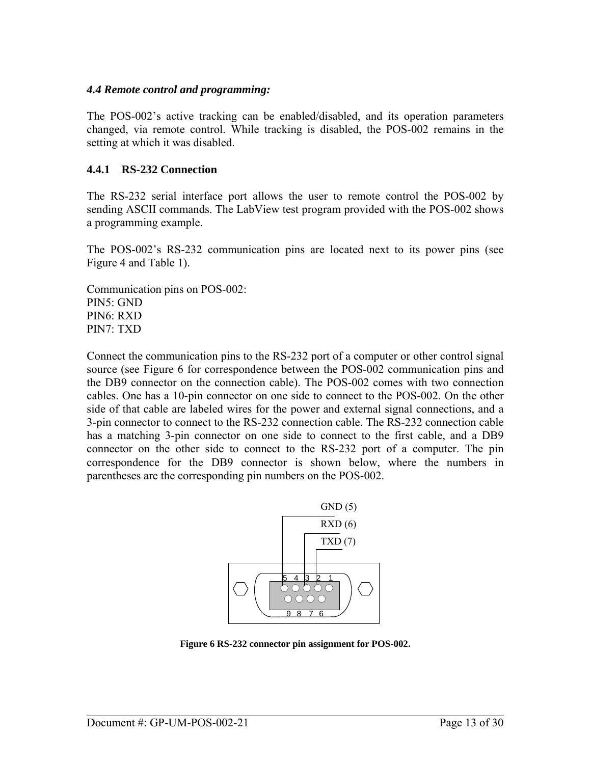#### <span id="page-12-0"></span>*4.4 Remote control and programming:*

The POS-002's active tracking can be enabled/disabled, and its operation parameters changed, via remote control. While tracking is disabled, the POS-002 remains in the setting at which it was disabled.

#### **4.4.1 RS-232 Connection**

The RS-232 serial interface port allows the user to remote control the POS-002 by sending ASCII commands. The LabView test program provided with the POS-002 shows a programming example.

The POS-002's RS-232 communication pins are located next to its power pins (see [Figure 4](#page-8-1) and [Table 1\)](#page-9-1).

Communication pins on POS-002: PIN5: GND PIN6: RXD PIN7: TXD

Connect the communication pins to the RS-232 port of a computer or other control signal source (see [Figure 6](#page-12-1) for correspondence between the POS-002 communication pins and the DB9 connector on the connection cable). The POS-002 comes with two connection cables. One has a 10-pin connector on one side to connect to the POS-002. On the other side of that cable are labeled wires for the power and external signal connections, and a 3-pin connector to connect to the RS-232 connection cable. The RS-232 connection cable has a matching 3-pin connector on one side to connect to the first cable, and a DB9 connector on the other side to connect to the RS-232 port of a computer. The pin correspondence for the DB9 connector is shown below, where the numbers in parentheses are the corresponding pin numbers on the POS-002.



<span id="page-12-1"></span>**Figure 6 RS-232 connector pin assignment for POS-002.**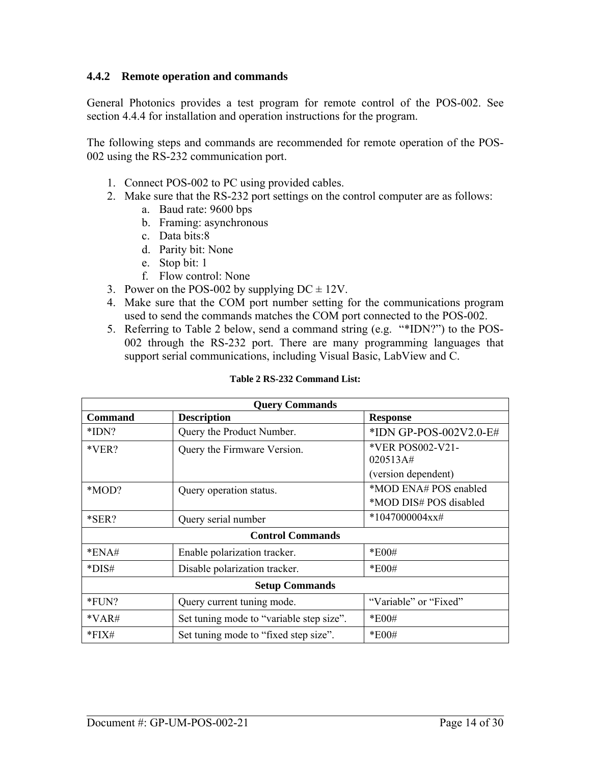#### <span id="page-13-0"></span>**4.4.2 Remote operation and commands**

General Photonics provides a test program for remote control of the POS-002. See section 4.4.4 for installation and operation instructions for the program.

The following steps and commands are recommended for remote operation of the POS-002 using the RS-232 communication port.

- 1. Connect POS-002 to PC using provided cables.
- 2. Make sure that the RS-232 port settings on the control computer are as follows:
	- a. Baud rate: 9600 bps
	- b. Framing: asynchronous
	- c. Data bits:8
	- d. Parity bit: None
	- e. Stop bit: 1
	- f. Flow control: None
- 3. Power on the POS-002 by supplying  $DC = 12V$ .
- 4. Make sure that the COM port number setting for the communications program used to send the commands matches the COM port connected to the POS-002.
- 5. Referring to Table 2 below, send a command string (e.g. "\*IDN?") to the POS-002 through the RS-232 port. There are many programming languages that support serial communications, including Visual Basic, LabView and C.

<span id="page-13-1"></span>

| <b>Query Commands</b>   |                                          |                        |
|-------------------------|------------------------------------------|------------------------|
| <b>Command</b>          | <b>Description</b>                       | <b>Response</b>        |
| $*IDN?$                 | Query the Product Number.                | *IDN GP-POS-002V2.0-E# |
| $*VER?$                 | Query the Firmware Version.              | *VER POS002-V21-       |
|                         |                                          | 020513A#               |
|                         |                                          | (version dependent)    |
| *MOD?                   | Query operation status.                  | *MOD ENA# POS enabled  |
|                         |                                          | *MOD DIS# POS disabled |
| $*SER?$                 | Query serial number                      | $*1047000004xx\#$      |
| <b>Control Commands</b> |                                          |                        |
| $*ENA#$                 | Enable polarization tracker.             | $*E00#$                |
| $*DIS#$                 | Disable polarization tracker.            | $*E00#$                |
| <b>Setup Commands</b>   |                                          |                        |
| $*FUN?$                 | Query current tuning mode.               | "Variable" or "Fixed"  |
| $*VAR\#$                | Set tuning mode to "variable step size". | $*E00#$                |
| $*$ FIX#                | Set tuning mode to "fixed step size".    | $*E00#$                |

#### **Table 2 RS-232 Command List:**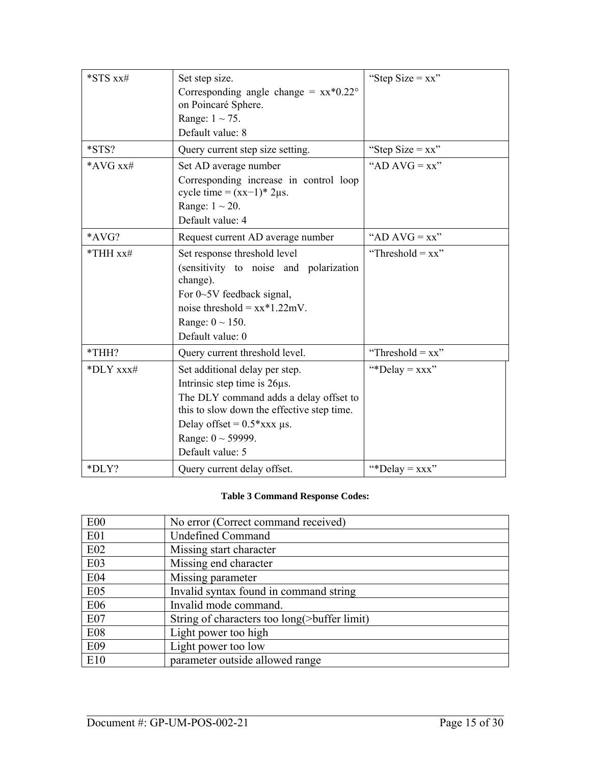| *STS xx#       | Set step size.<br>Corresponding angle change = $xx*0.22^{\circ}$<br>on Poincaré Sphere.<br>Range: $1 \sim 75$ .<br>Default value: 8                                                                                                               | "Step Size = $xx$ " |
|----------------|---------------------------------------------------------------------------------------------------------------------------------------------------------------------------------------------------------------------------------------------------|---------------------|
| $*STS?$        | Query current step size setting.                                                                                                                                                                                                                  | "Step Size = $xx$ " |
| *AVG $xx\#$    | Set AD average number<br>Corresponding increase in control loop<br>cycle time = $(xx-1)*2\mu s$ .<br>Range: $1 \sim 20$ .<br>Default value: 4                                                                                                     | "AD AVG = $xx$ "    |
| *AVG?          | Request current AD average number                                                                                                                                                                                                                 | "AD $AVG = xx$ "    |
| $*$ THH $xx\#$ | Set response threshold level<br>(sensitivity to noise and polarization<br>change).<br>For $0\neg 5V$ feedback signal,<br>noise threshold = $xx*1.22mV$ .<br>Range: $0 \sim 150$ .<br>Default value: 0                                             | "Threshold = $xx$ " |
| *THH?          | Query current threshold level.                                                                                                                                                                                                                    | "Threshold = $xx$ " |
| *DLY xxx#      | Set additional delay per step.<br>Intrinsic step time is $26\mu s$ .<br>The DLY command adds a delay offset to<br>this to slow down the effective step time.<br>Delay offset = $0.5*$ xxx $\mu$ s.<br>Range: $0 \sim 59999$ .<br>Default value: 5 | "*Delay = $xxx$ "   |
| *DLY?          | Query current delay offset.                                                                                                                                                                                                                       | "*Delay = $xxx$ "   |

#### **Table 3 Command Response Codes:**

<span id="page-14-0"></span>

| E00             | No error (Correct command received)          |
|-----------------|----------------------------------------------|
| E01             | <b>Undefined Command</b>                     |
| E02             | Missing start character                      |
| E <sub>03</sub> | Missing end character                        |
| E <sub>04</sub> | Missing parameter                            |
| E <sub>05</sub> | Invalid syntax found in command string       |
| E06             | Invalid mode command.                        |
| E <sub>07</sub> | String of characters too long(>buffer limit) |
| E08             | Light power too high                         |
| E09             | Light power too low                          |
| E10             | parameter outside allowed range              |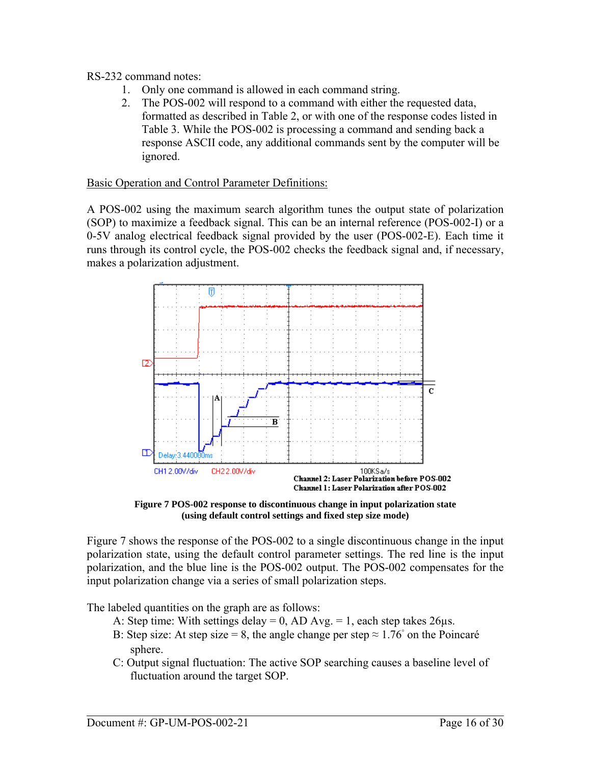RS-232 command notes:

- 1. Only one command is allowed in each command string.
- 2. The POS-002 will respond to a command with either the requested data, formatted as described in [Table 2](#page-13-1), or with one of the response codes listed in [Table 3](#page-14-0). While the POS-002 is processing a command and sending back a response ASCII code, any additional commands sent by the computer will be ignored.

#### Basic Operation and Control Parameter Definitions:

A POS-002 using the maximum search algorithm tunes the output state of polarization (SOP) to maximize a feedback signal. This can be an internal reference (POS-002-I) or a 0-5V analog electrical feedback signal provided by the user (POS-002-E). Each time it runs through its control cycle, the POS-002 checks the feedback signal and, if necessary, makes a polarization adjustment.



**Figure 7 POS-002 response to discontinuous change in input polarization state (using default control settings and fixed step size mode)** 

<span id="page-15-0"></span>[Figure 7](#page-15-0) shows the response of the POS-002 to a single discontinuous change in the input polarization state, using the default control parameter settings. The red line is the input polarization, and the blue line is the POS-002 output. The POS-002 compensates for the input polarization change via a series of small polarization steps.

The labeled quantities on the graph are as follows:

- A: Step time: With settings delay = 0, AD Avg. = 1, each step takes  $26\mu s$ .
- B: Step size: At step size = 8, the angle change per step  $\approx 1.76^{\circ}$  on the Poincaré sphere.
- C: Output signal fluctuation: The active SOP searching causes a baseline level of fluctuation around the target SOP.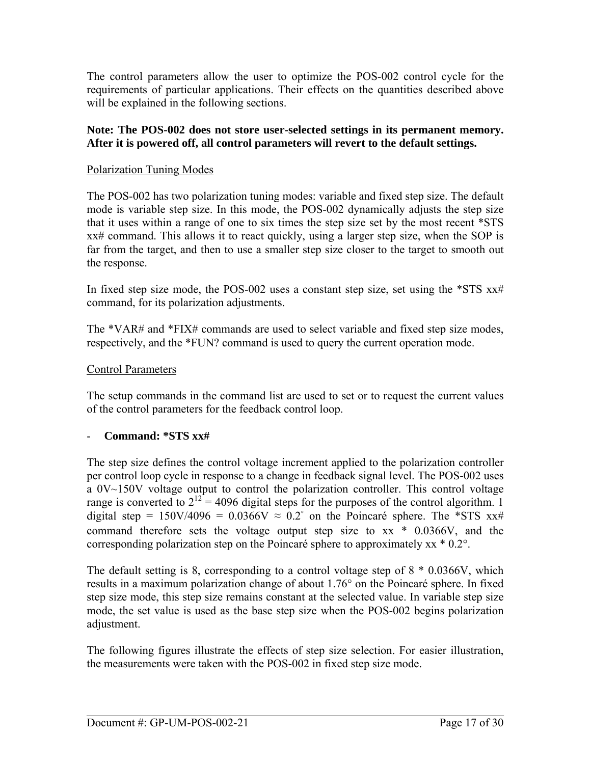The control parameters allow the user to optimize the POS-002 control cycle for the requirements of particular applications. Their effects on the quantities described above will be explained in the following sections.

#### **Note: The POS-002 does not store user-selected settings in its permanent memory. After it is powered off, all control parameters will revert to the default settings.**

#### Polarization Tuning Modes

The POS-002 has two polarization tuning modes: variable and fixed step size. The default mode is variable step size. In this mode, the POS-002 dynamically adjusts the step size that it uses within a range of one to six times the step size set by the most recent \*STS xx# command. This allows it to react quickly, using a larger step size, when the SOP is far from the target, and then to use a smaller step size closer to the target to smooth out the response.

In fixed step size mode, the POS-002 uses a constant step size, set using the  $*STS$   $xx\#$ command, for its polarization adjustments.

The \*VAR# and \*FIX# commands are used to select variable and fixed step size modes, respectively, and the \*FUN? command is used to query the current operation mode.

#### Control Parameters

The setup commands in the command list are used to set or to request the current values of the control parameters for the feedback control loop.

#### - **Command: \*STS xx#**

The step size defines the control voltage increment applied to the polarization controller per control loop cycle in response to a change in feedback signal level. The POS-002 uses a 0V~150V voltage output to control the polarization controller. This control voltage range is converted to  $2^{12}$  = 4096 digital steps for the purposes of the control algorithm. 1 digital step =  $150V/4096 = 0.0366V \approx 0.2^{\circ}$  on the Poincaré sphere. The \*STS xx# command therefore sets the voltage output step size to xx \* 0.0366V, and the corresponding polarization step on the Poincaré sphere to approximately xx \* 0.2°.

The default setting is 8, corresponding to a control voltage step of 8 \* 0.0366V, which results in a maximum polarization change of about 1.76° on the Poincaré sphere. In fixed step size mode, this step size remains constant at the selected value. In variable step size mode, the set value is used as the base step size when the POS-002 begins polarization adjustment.

The following figures illustrate the effects of step size selection. For easier illustration, the measurements were taken with the POS-002 in fixed step size mode.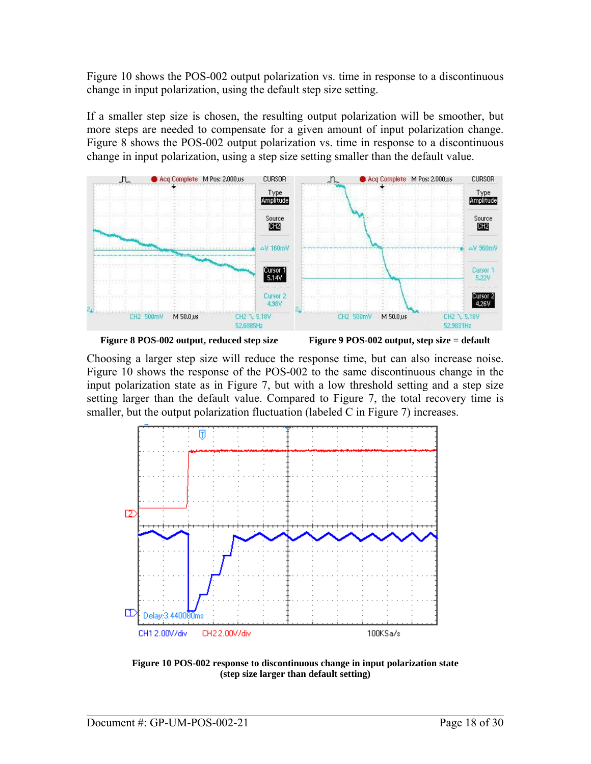Figure 10 shows the POS-002 output polarization vs. time in response to a discontinuous change in input polarization, using the default step size setting.

If a smaller step size is chosen, the resulting output polarization will be smoother, but more steps are needed to compensate for a given amount of input polarization change. [Figure 8](#page-17-0) shows the POS-002 output polarization vs. time in response to a discontinuous change in input polarization, using a step size setting smaller than the default value.







<span id="page-17-0"></span>Choosing a larger step size will reduce the response time, but can also increase noise. [Figure 10](#page-17-1) shows the response of the POS-002 to the same discontinuous change in the input polarization state as in [Figure 7](#page-15-0), but with a low threshold setting and a step size setting larger than the default value. Compared to [Figure 7,](#page-15-0) the total recovery time is smaller, but the output polarization fluctuation (labeled C in [Figure 7\)](#page-15-0) increases.



<span id="page-17-1"></span>**Figure 10 POS-002 response to discontinuous change in input polarization state (step size larger than default setting)**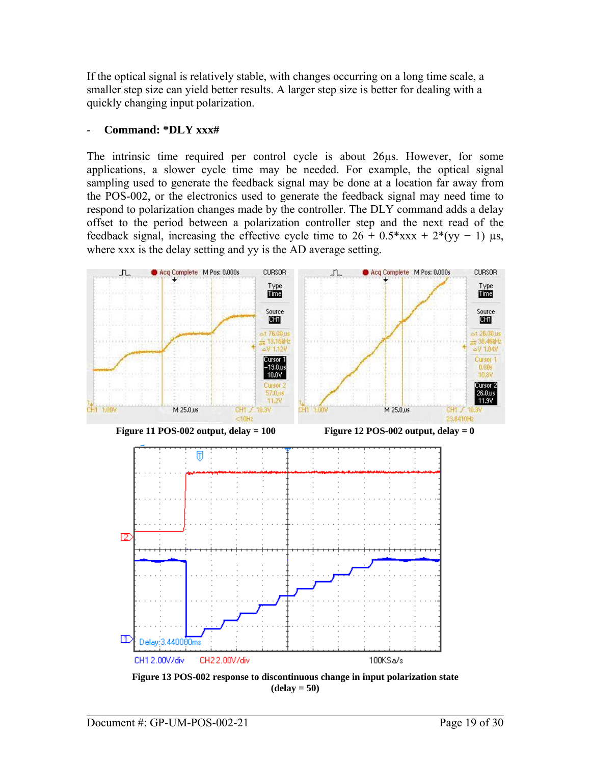If the optical signal is relatively stable, with changes occurring on a long time scale, a smaller step size can yield better results. A larger step size is better for dealing with a quickly changing input polarization.

#### - **Command: \*DLY xxx#**

The intrinsic time required per control cycle is about 26µs. However, for some applications, a slower cycle time may be needed. For example, the optical signal sampling used to generate the feedback signal may be done at a location far away from the POS-002, or the electronics used to generate the feedback signal may need time to respond to polarization changes made by the controller. The DLY command adds a delay offset to the period between a polarization controller step and the next read of the feedback signal, increasing the effective cycle time to  $26 + 0.5*xxxx + 2*(yy - 1)$  µs, where xxx is the delay setting and yy is the AD average setting.

<span id="page-18-1"></span>

<span id="page-18-0"></span>**Figure 13 POS-002 response to discontinuous change in input polarization state (delay = 50)**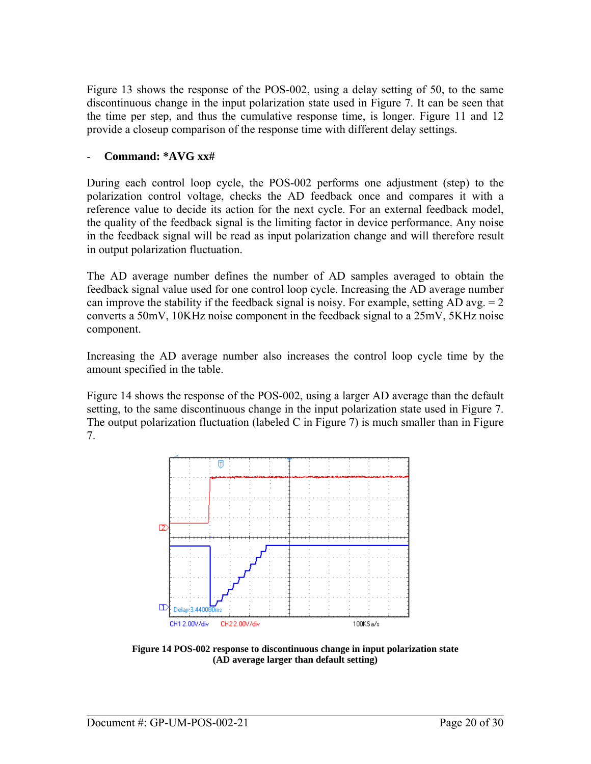[Figure 13](#page-18-0) shows the response of the POS-002, using a delay setting of 50, to the same discontinuous change in the input polarization state used in [Figure 7](#page-15-0). It can be seen that the time per step, and thus the cumulative response time, is longer. [Figure 11](#page-18-1) and 12 provide a closeup comparison of the response time with different delay settings.

#### - **Command: \*AVG xx#**

During each control loop cycle, the POS-002 performs one adjustment (step) to the polarization control voltage, checks the AD feedback once and compares it with a reference value to decide its action for the next cycle. For an external feedback model, the quality of the feedback signal is the limiting factor in device performance. Any noise in the feedback signal will be read as input polarization change and will therefore result in output polarization fluctuation.

The AD average number defines the number of AD samples averaged to obtain the feedback signal value used for one control loop cycle. Increasing the AD average number can improve the stability if the feedback signal is noisy. For example, setting AD avg.  $= 2$ converts a 50mV, 10KHz noise component in the feedback signal to a 25mV, 5KHz noise component.

Increasing the AD average number also increases the control loop cycle time by the amount specified in the table.

[Figure 14](#page-19-0) shows the response of the POS-002, using a larger AD average than the default setting, to the same discontinuous change in the input polarization state used in [Figure 7.](#page-15-0) The output polarization fluctuation (labeled C in [Figure 7\)](#page-15-0) is much smaller than in [Figure](#page-15-0)  [7.](#page-15-0)



<span id="page-19-0"></span>**Figure 14 POS-002 response to discontinuous change in input polarization state (AD average larger than default setting)**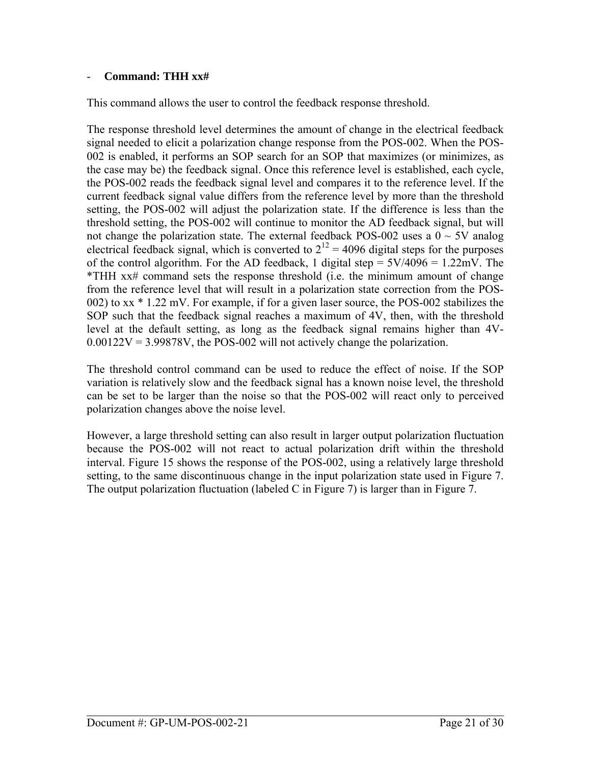#### - **Command: THH xx#**

This command allows the user to control the feedback response threshold.

The response threshold level determines the amount of change in the electrical feedback signal needed to elicit a polarization change response from the POS-002. When the POS-002 is enabled, it performs an SOP search for an SOP that maximizes (or minimizes, as the case may be) the feedback signal. Once this reference level is established, each cycle, the POS-002 reads the feedback signal level and compares it to the reference level. If the current feedback signal value differs from the reference level by more than the threshold setting, the POS-002 will adjust the polarization state. If the difference is less than the threshold setting, the POS-002 will continue to monitor the AD feedback signal, but will not change the polarization state. The external feedback POS-002 uses a  $0 \sim 5V$  analog electrical feedback signal, which is converted to  $2^{12} = 4096$  digital steps for the purposes of the control algorithm. For the AD feedback, 1 digital step =  $5V/4096 = 1.22 \text{mV}$ . The \*THH xx# command sets the response threshold (i.e. the minimum amount of change from the reference level that will result in a polarization state correction from the POS-002) to xx \* 1.22 mV. For example, if for a given laser source, the POS-002 stabilizes the SOP such that the feedback signal reaches a maximum of 4V, then, with the threshold level at the default setting, as long as the feedback signal remains higher than 4V- $0.00122V = 3.99878V$ , the POS-002 will not actively change the polarization.

The threshold control command can be used to reduce the effect of noise. If the SOP variation is relatively slow and the feedback signal has a known noise level, the threshold can be set to be larger than the noise so that the POS-002 will react only to perceived polarization changes above the noise level.

However, a large threshold setting can also result in larger output polarization fluctuation because the POS-002 will not react to actual polarization drift within the threshold interval. [Figure 15](#page-21-1) shows the response of the POS-002, using a relatively large threshold setting, to the same discontinuous change in the input polarization state used in [Figure 7.](#page-15-0) The output polarization fluctuation (labeled C in [Figure 7\)](#page-15-0) is larger than in [Figure 7](#page-15-0).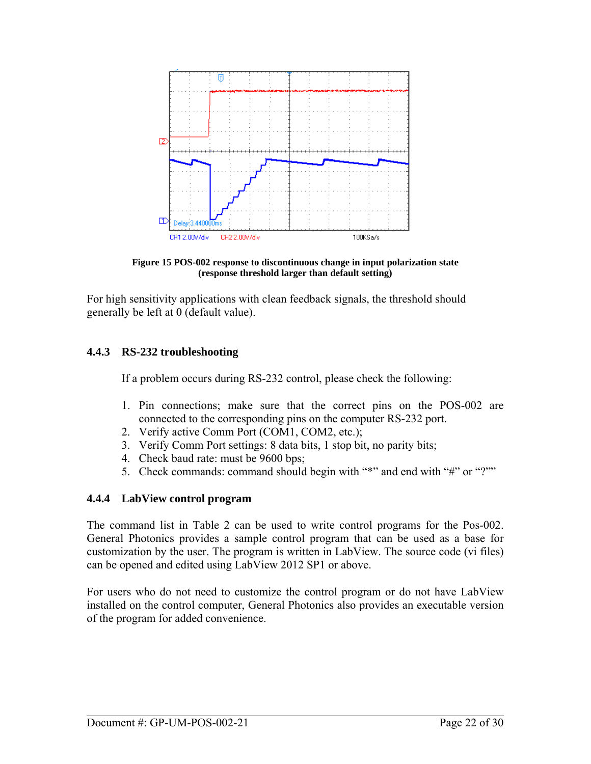<span id="page-21-0"></span>

**Figure 15 POS-002 response to discontinuous change in input polarization state (response threshold larger than default setting)** 

<span id="page-21-1"></span>For high sensitivity applications with clean feedback signals, the threshold should generally be left at 0 (default value).

#### **4.4.3 RS-232 troubleshooting**

If a problem occurs during RS-232 control, please check the following:

- 1. Pin connections; make sure that the correct pins on the POS-002 are connected to the corresponding pins on the computer RS-232 port.
- 2. Verify active Comm Port (COM1, COM2, etc.);
- 3. Verify Comm Port settings: 8 data bits, 1 stop bit, no parity bits;
- 4. Check baud rate: must be 9600 bps;
- 5. Check commands: command should begin with "\*" and end with "#" or "?""

### **4.4.4 LabView control program**

The command list in [Table 2](#page-13-1) can be used to write control programs for the Pos-002. General Photonics provides a sample control program that can be used as a base for customization by the user. The program is written in LabView. The source code (vi files) can be opened and edited using LabView 2012 SP1 or above.

For users who do not need to customize the control program or do not have LabView installed on the control computer, General Photonics also provides an executable version of the program for added convenience.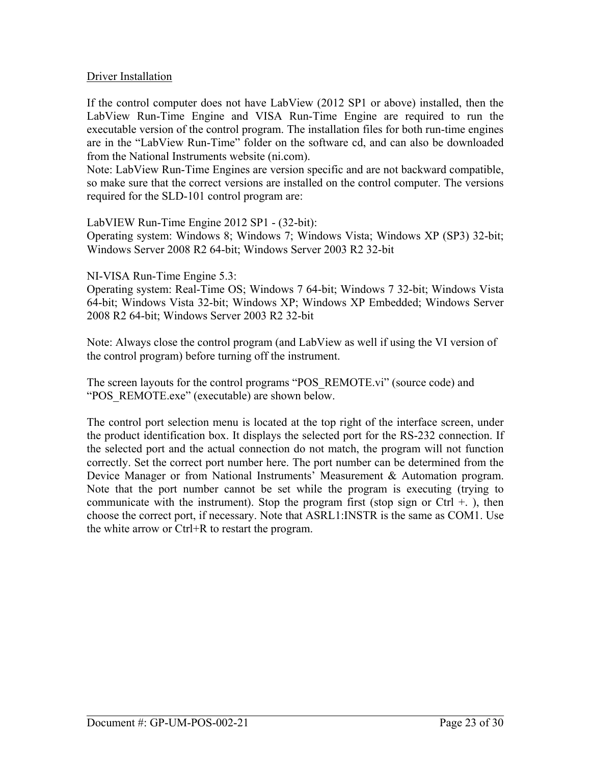#### Driver Installation

If the control computer does not have LabView (2012 SP1 or above) installed, then the LabView Run-Time Engine and VISA Run-Time Engine are required to run the executable version of the control program. The installation files for both run-time engines are in the "LabView Run-Time" folder on the software cd, and can also be downloaded from the National Instruments website (ni.com).

Note: LabView Run-Time Engines are version specific and are not backward compatible, so make sure that the correct versions are installed on the control computer. The versions required for the SLD-101 control program are:

LabVIEW Run-Time Engine 2012 SP1 - (32-bit):

Operating system: Windows 8; Windows 7; Windows Vista; Windows XP (SP3) 32-bit; Windows Server 2008 R2 64-bit; Windows Server 2003 R2 32-bit

NI-VISA Run-Time Engine 5.3:

Operating system: Real-Time OS; Windows 7 64-bit; Windows 7 32-bit; Windows Vista 64-bit; Windows Vista 32-bit; Windows XP; Windows XP Embedded; Windows Server 2008 R2 64-bit; Windows Server 2003 R2 32-bit

Note: Always close the control program (and LabView as well if using the VI version of the control program) before turning off the instrument.

The screen layouts for the control programs "POS\_REMOTE.vi" (source code) and "POS\_REMOTE.exe" (executable) are shown below.

The control port selection menu is located at the top right of the interface screen, under the product identification box. It displays the selected port for the RS-232 connection. If the selected port and the actual connection do not match, the program will not function correctly. Set the correct port number here. The port number can be determined from the Device Manager or from National Instruments' Measurement & Automation program. Note that the port number cannot be set while the program is executing (trying to communicate with the instrument). Stop the program first (stop sign or Ctrl  $+$ .), then choose the correct port, if necessary. Note that ASRL1:INSTR is the same as COM1. Use the white arrow or Ctrl+R to restart the program.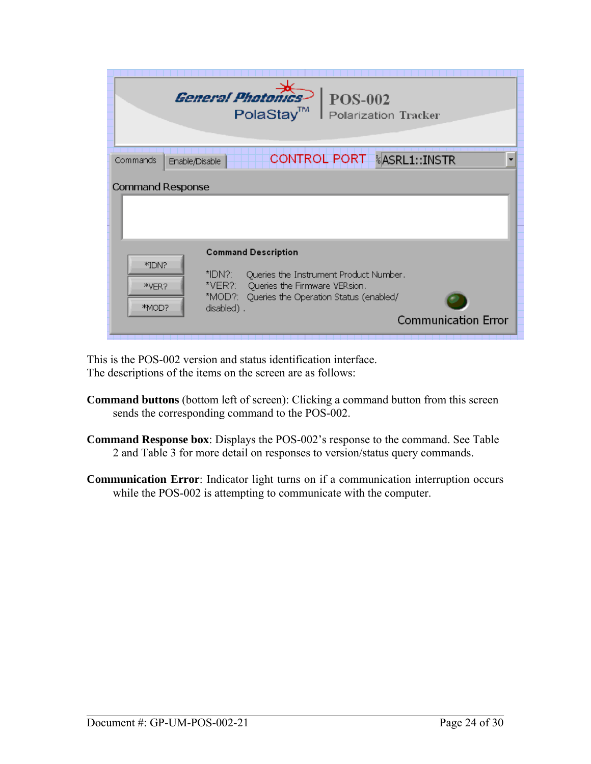|                            | Conoral Bhotor<br><b>POS-002</b><br>PolaStay <sup>™</sup><br>Polarization Tracker                                                                                                                                   |
|----------------------------|---------------------------------------------------------------------------------------------------------------------------------------------------------------------------------------------------------------------|
| Commands<br>Enable/Disable | <b>CONTROL PORT</b><br><b><i>k</i>ASRL1::INSTR</b>                                                                                                                                                                  |
| <b>Command Response</b>    |                                                                                                                                                                                                                     |
| *IDN?<br>*VER?<br>*MOD?    | <b>Command Description</b><br>*IDN?:<br>Queries the Instrument Product Number.<br>*VER?: Queries the Firmware VERsion.<br>*MOD?: Queries the Operation Status (enabled/<br>disabled).<br><b>Communication Error</b> |

This is the POS-002 version and status identification interface. The descriptions of the items on the screen are as follows:

- **Command buttons** (bottom left of screen): Clicking a command button from this screen sends the corresponding command to the POS-002.
- **Command Response box**: Displays the POS-002's response to the command. See [Table](#page-13-1)  [2](#page-13-1) and [Table 3](#page-14-0) for more detail on responses to version/status query commands.
- **Communication Error**: Indicator light turns on if a communication interruption occurs while the POS-002 is attempting to communicate with the computer.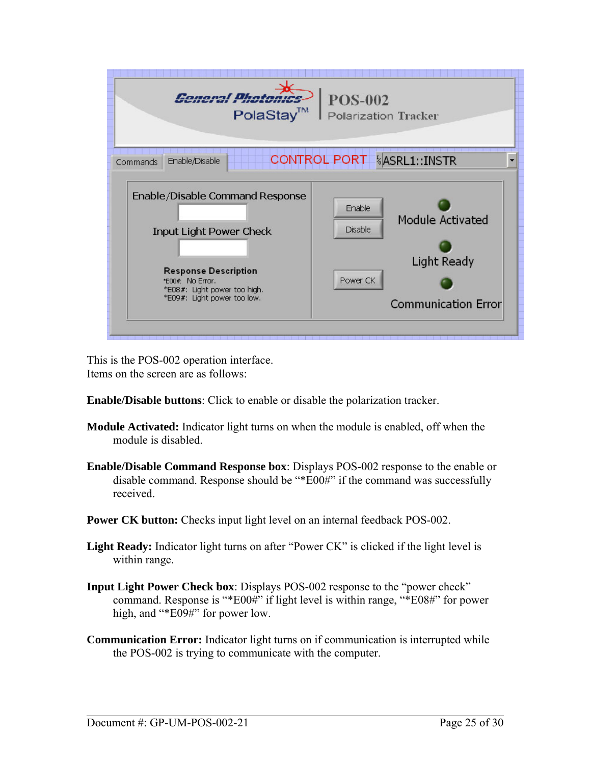| oral Dhotor<br><b>POS-002</b><br>PolaStay™<br>Polarization Tracker |                             |
|--------------------------------------------------------------------|-----------------------------|
| Enable/Disable                                                     | <b>CONTROL PORT</b>         |
| Commands                                                           | <b><i>kASRL1::INSTR</i></b> |
| Enable/Disable Command Response                                    | Enable                      |
| <b>Input Light Power Check</b>                                     | Module Activated            |
| <b>Response Description</b>                                        | Disable                     |
| *E00#: No Error.                                                   | <b>Light Ready</b>          |
| *E08#: Light power too high.                                       | Power CK                    |
| *E09#: Light power too low.                                        | <b>Communication Error</b>  |

This is the POS-002 operation interface. Items on the screen are as follows:

- **Enable/Disable buttons**: Click to enable or disable the polarization tracker.
- **Module Activated:** Indicator light turns on when the module is enabled, off when the module is disabled.
- **Enable/Disable Command Response box**: Displays POS-002 response to the enable or disable command. Response should be "\*E00#" if the command was successfully received.
- **Power CK button:** Checks input light level on an internal feedback POS-002.
- **Light Ready:** Indicator light turns on after "Power CK" is clicked if the light level is within range.
- **Input Light Power Check box**: Displays POS-002 response to the "power check" command. Response is "\*E00#" if light level is within range, "\*E08#" for power high, and "\*E09#" for power low.
- **Communication Error:** Indicator light turns on if communication is interrupted while the POS-002 is trying to communicate with the computer.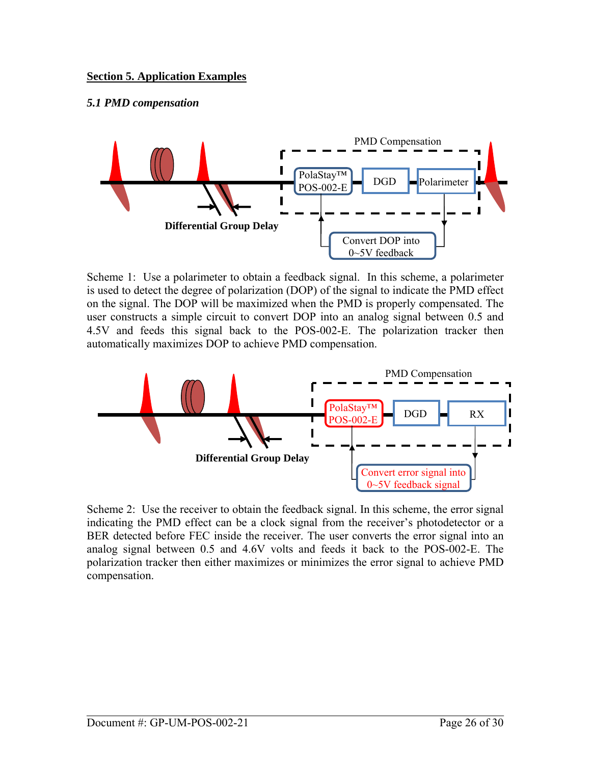### <span id="page-25-0"></span>*5.1 PMD compensation*



Scheme 1: Use a polarimeter to obtain a feedback signal. In this scheme, a polarimeter is used to detect the degree of polarization (DOP) of the signal to indicate the PMD effect on the signal. The DOP will be maximized when the PMD is properly compensated. The user constructs a simple circuit to convert DOP into an analog signal between 0.5 and 4.5V and feeds this signal back to the POS-002-E. The polarization tracker then automatically maximizes DOP to achieve PMD compensation.



Scheme 2: Use the receiver to obtain the feedback signal. In this scheme, the error signal indicating the PMD effect can be a clock signal from the receiver's photodetector or a BER detected before FEC inside the receiver. The user converts the error signal into an analog signal between 0.5 and 4.6V volts and feeds it back to the POS-002-E. The polarization tracker then either maximizes or minimizes the error signal to achieve PMD compensation.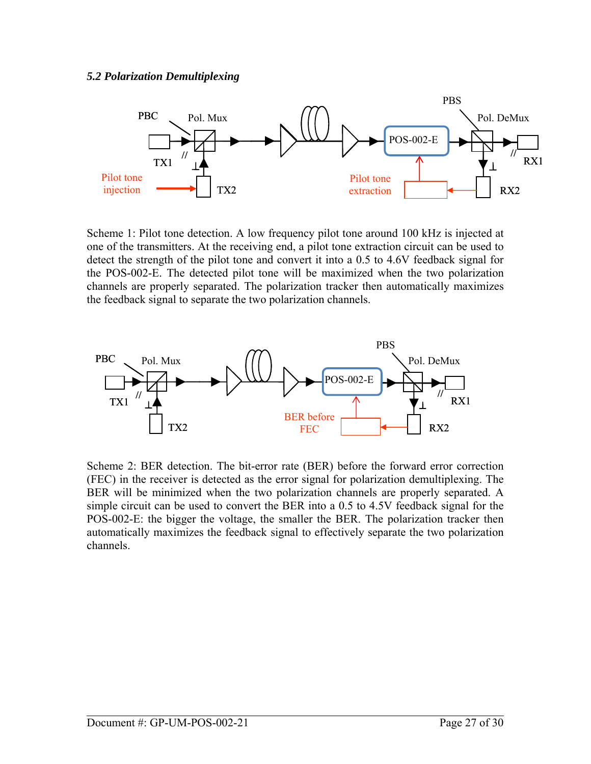<span id="page-26-0"></span>

Scheme 1: Pilot tone detection. A low frequency pilot tone around 100 kHz is injected at one of the transmitters. At the receiving end, a pilot tone extraction circuit can be used to detect the strength of the pilot tone and convert it into a 0.5 to 4.6V feedback signal for the POS-002-E. The detected pilot tone will be maximized when the two polarization channels are properly separated. The polarization tracker then automatically maximizes the feedback signal to separate the two polarization channels.



Scheme 2: BER detection. The bit-error rate (BER) before the forward error correction (FEC) in the receiver is detected as the error signal for polarization demultiplexing. The BER will be minimized when the two polarization channels are properly separated. A simple circuit can be used to convert the BER into a 0.5 to 4.5V feedback signal for the POS-002-E: the bigger the voltage, the smaller the BER. The polarization tracker then automatically maximizes the feedback signal to effectively separate the two polarization channels.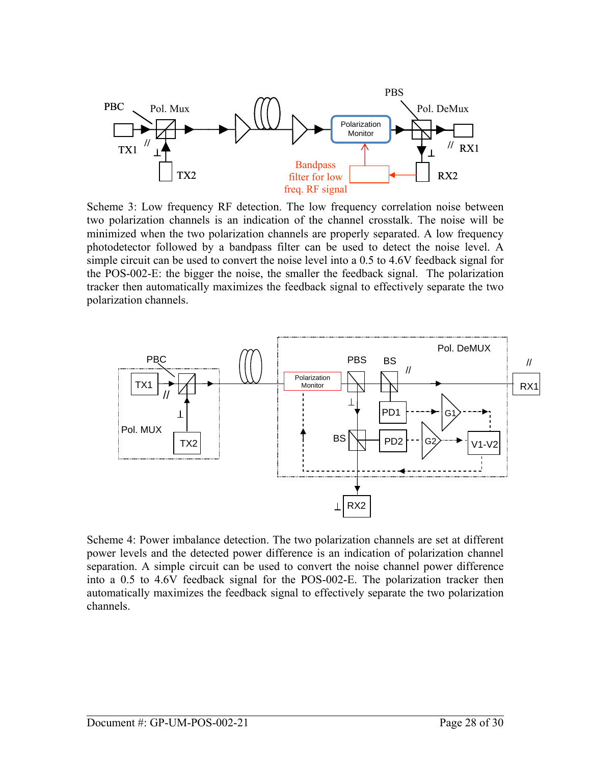

Scheme 3: Low frequency RF detection. The low frequency correlation noise between two polarization channels is an indication of the channel crosstalk. The noise will be minimized when the two polarization channels are properly separated. A low frequency photodetector followed by a bandpass filter can be used to detect the noise level. A simple circuit can be used to convert the noise level into a 0.5 to 4.6V feedback signal for the POS-002-E: the bigger the noise, the smaller the feedback signal. The polarization tracker then automatically maximizes the feedback signal to effectively separate the two polarization channels.



Scheme 4: Power imbalance detection. The two polarization channels are set at different power levels and the detected power difference is an indication of polarization channel separation. A simple circuit can be used to convert the noise channel power difference into a 0.5 to 4.6V feedback signal for the POS-002-E. The polarization tracker then automatically maximizes the feedback signal to effectively separate the two polarization channels.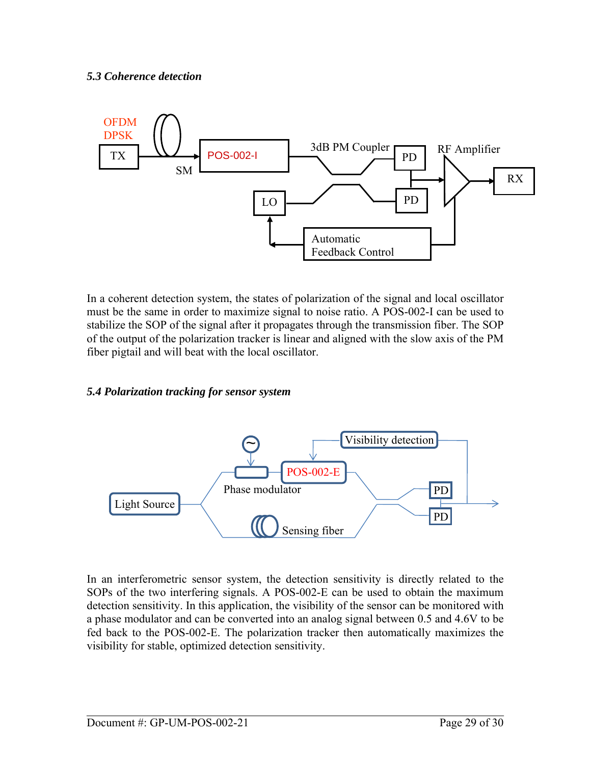#### <span id="page-28-0"></span>*5.3 Coherence detection*



In a coherent detection system, the states of polarization of the signal and local oscillator must be the same in order to maximize signal to noise ratio. A POS-002-I can be used to stabilize the SOP of the signal after it propagates through the transmission fiber. The SOP of the output of the polarization tracker is linear and aligned with the slow axis of the PM fiber pigtail and will beat with the local oscillator.

#### *5.4 Polarization tracking for sensor system*



In an interferometric sensor system, the detection sensitivity is directly related to the SOPs of the two interfering signals. A POS-002-E can be used to obtain the maximum detection sensitivity. In this application, the visibility of the sensor can be monitored with a phase modulator and can be converted into an analog signal between 0.5 and 4.6V to be fed back to the POS-002-E. The polarization tracker then automatically maximizes the visibility for stable, optimized detection sensitivity.